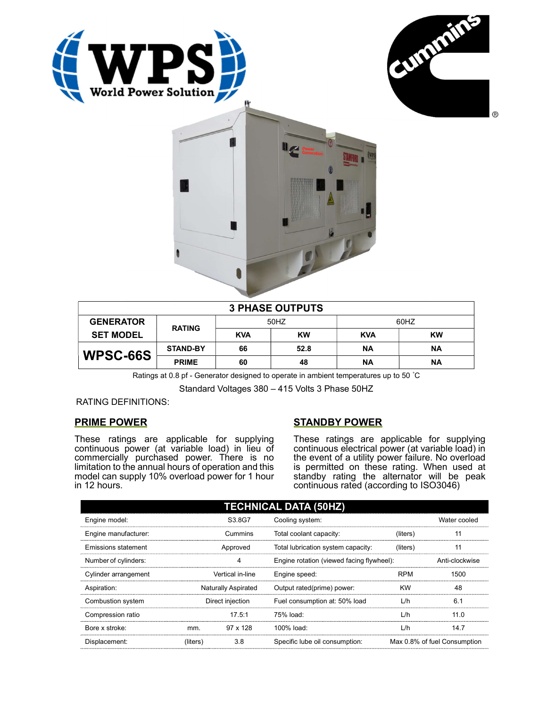





| <b>3 PHASE OUTPUTS</b> |                 |            |           |            |           |  |  |
|------------------------|-----------------|------------|-----------|------------|-----------|--|--|
| <b>GENERATOR</b>       | <b>RATING</b>   | 50HZ       |           | 60HZ       |           |  |  |
| <b>SET MODEL</b>       |                 | <b>KVA</b> | <b>KW</b> | <b>KVA</b> | <b>KW</b> |  |  |
| WPSC-66S               | <b>STAND-BY</b> | 66         | 52.8      | NA         | ΝA        |  |  |
|                        | <b>PRIME</b>    | 60         | 48        | ΝA         | ΝA        |  |  |

Ratings at 0.8 pf - Generator designed to operate in ambient temperatures up to 50 °C

Standard Voltages 380 – 415 Volts 3 Phase 50HZ

RATING DEFINITIONS:

## PRIME POWER

These ratings are applicable for supplying continuous power (at variable load) in lieu of commercially purchased power. There is no limitation to the annual hours of operation and this model can supply 10% overload power for 1 hour in 12 hours.

## STANDBY POWER

These ratings are applicable for supplying continuous electrical power (at variable load) in the event of a utility power failure. No overload is permitted on these rating. When used at standby rating the alternator will be peak continuous rated (according to ISO3046)

| <b>TECHNICAL DATA (50HZ)</b> |                     |                 |                                           |            |                              |  |  |
|------------------------------|---------------------|-----------------|-------------------------------------------|------------|------------------------------|--|--|
| Engine model:                |                     | S3.8G7          | Cooling system:                           |            | Water cooled                 |  |  |
| Engine manufacturer:         | Cummins             |                 | Total coolant capacity:                   | (liters)   | 11                           |  |  |
| Emissions statement          | Approved            |                 | Total lubrication system capacity:        | (liters)   | 11                           |  |  |
| Number of cylinders:         |                     | 4               | Engine rotation (viewed facing flywheel): |            | Anti-clockwise               |  |  |
| Cylinder arrangement         | Vertical in-line    |                 | Engine speed:                             | <b>RPM</b> | 1500                         |  |  |
| Aspiration:                  | Naturally Aspirated |                 | Output rated(prime) power:                | <b>KW</b>  | 48                           |  |  |
| Combustion system            | Direct injection    |                 | Fuel consumption at: 50% load             | L/h        | 6.1                          |  |  |
| Compression ratio            |                     | 17.5:1          | 75% load:                                 | L/h        | 11.0                         |  |  |
| Bore x stroke:               | mm.                 | $97 \times 128$ | 100% load:                                | L/h        | 14.7                         |  |  |
| Displacement:                | (liters)            | 3.8             | Specific lube oil consumption:            |            | Max 0.8% of fuel Consumption |  |  |